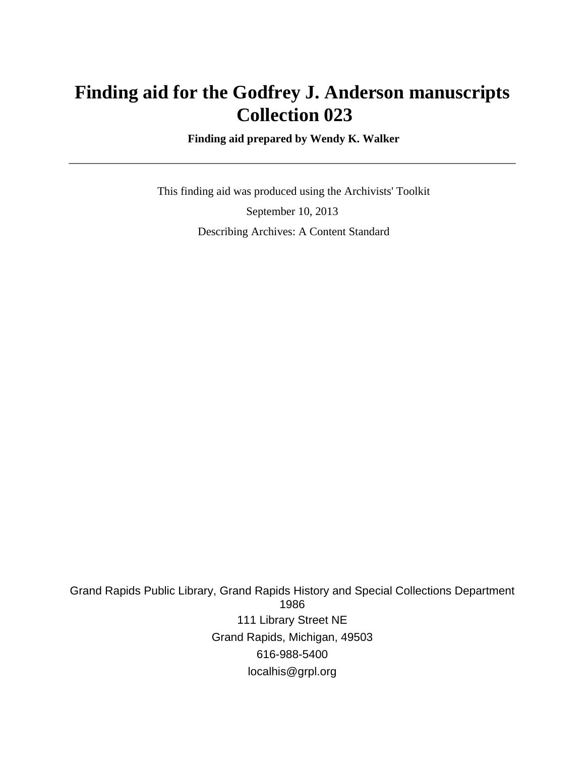# **Finding aid for the Godfrey J. Anderson manuscripts Collection 023**

 **Finding aid prepared by Wendy K. Walker**

 This finding aid was produced using the Archivists' Toolkit September 10, 2013 Describing Archives: A Content Standard

Grand Rapids Public Library, Grand Rapids History and Special Collections Department 1986 111 Library Street NE Grand Rapids, Michigan, 49503 616-988-5400 localhis@grpl.org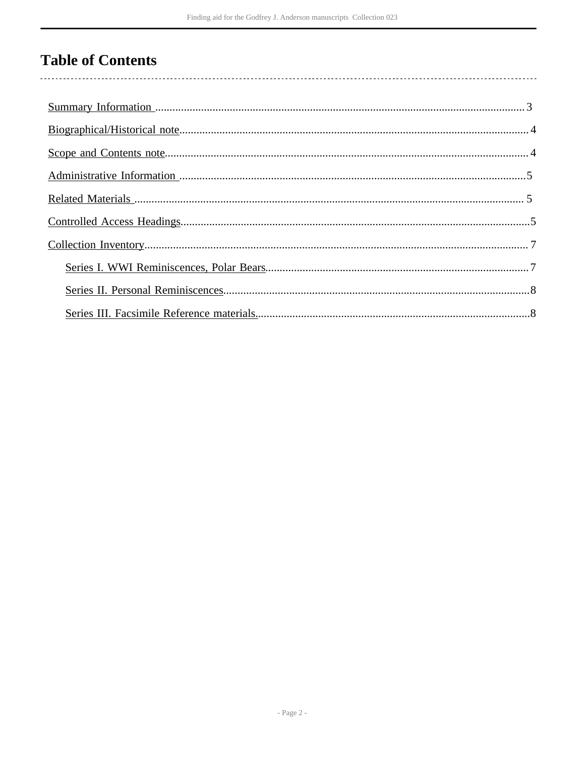# **Table of Contents**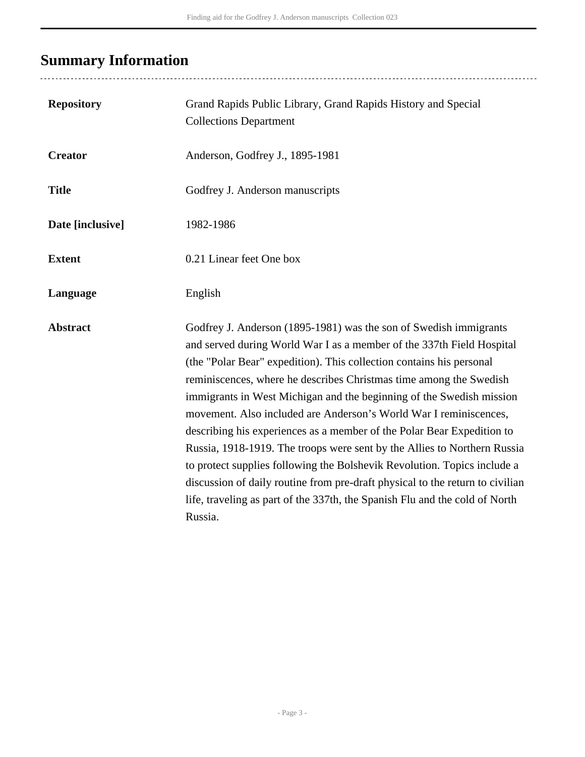# <span id="page-2-0"></span>**Summary Information**

| <b>Repository</b> | Grand Rapids Public Library, Grand Rapids History and Special<br><b>Collections Department</b>                                                                                                                                                                                                                                                                                                                                                                                                                                                                                                                                                                                                                                                                                                                                                     |
|-------------------|----------------------------------------------------------------------------------------------------------------------------------------------------------------------------------------------------------------------------------------------------------------------------------------------------------------------------------------------------------------------------------------------------------------------------------------------------------------------------------------------------------------------------------------------------------------------------------------------------------------------------------------------------------------------------------------------------------------------------------------------------------------------------------------------------------------------------------------------------|
| <b>Creator</b>    | Anderson, Godfrey J., 1895-1981                                                                                                                                                                                                                                                                                                                                                                                                                                                                                                                                                                                                                                                                                                                                                                                                                    |
| <b>Title</b>      | Godfrey J. Anderson manuscripts                                                                                                                                                                                                                                                                                                                                                                                                                                                                                                                                                                                                                                                                                                                                                                                                                    |
| Date [inclusive]  | 1982-1986                                                                                                                                                                                                                                                                                                                                                                                                                                                                                                                                                                                                                                                                                                                                                                                                                                          |
| <b>Extent</b>     | 0.21 Linear feet One box                                                                                                                                                                                                                                                                                                                                                                                                                                                                                                                                                                                                                                                                                                                                                                                                                           |
| Language          | English                                                                                                                                                                                                                                                                                                                                                                                                                                                                                                                                                                                                                                                                                                                                                                                                                                            |
| <b>Abstract</b>   | Godfrey J. Anderson (1895-1981) was the son of Swedish immigrants<br>and served during World War I as a member of the 337th Field Hospital<br>(the "Polar Bear" expedition). This collection contains his personal<br>reminiscences, where he describes Christmas time among the Swedish<br>immigrants in West Michigan and the beginning of the Swedish mission<br>movement. Also included are Anderson's World War I reminiscences,<br>describing his experiences as a member of the Polar Bear Expedition to<br>Russia, 1918-1919. The troops were sent by the Allies to Northern Russia<br>to protect supplies following the Bolshevik Revolution. Topics include a<br>discussion of daily routine from pre-draft physical to the return to civilian<br>life, traveling as part of the 337th, the Spanish Flu and the cold of North<br>Russia. |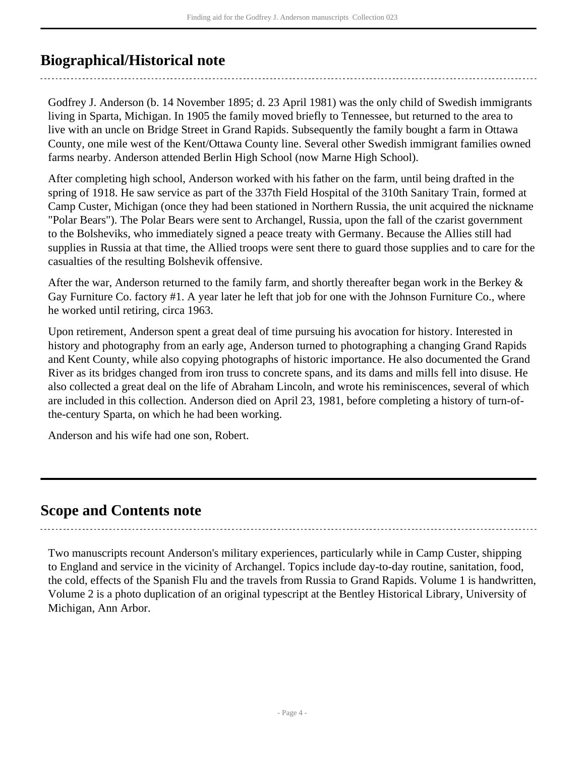## <span id="page-3-0"></span>**Biographical/Historical note**

Godfrey J. Anderson (b. 14 November 1895; d. 23 April 1981) was the only child of Swedish immigrants living in Sparta, Michigan. In 1905 the family moved briefly to Tennessee, but returned to the area to live with an uncle on Bridge Street in Grand Rapids. Subsequently the family bought a farm in Ottawa County, one mile west of the Kent/Ottawa County line. Several other Swedish immigrant families owned farms nearby. Anderson attended Berlin High School (now Marne High School).

After completing high school, Anderson worked with his father on the farm, until being drafted in the spring of 1918. He saw service as part of the 337th Field Hospital of the 310th Sanitary Train, formed at Camp Custer, Michigan (once they had been stationed in Northern Russia, the unit acquired the nickname "Polar Bears"). The Polar Bears were sent to Archangel, Russia, upon the fall of the czarist government to the Bolsheviks, who immediately signed a peace treaty with Germany. Because the Allies still had supplies in Russia at that time, the Allied troops were sent there to guard those supplies and to care for the casualties of the resulting Bolshevik offensive.

After the war, Anderson returned to the family farm, and shortly thereafter began work in the Berkey & Gay Furniture Co. factory #1. A year later he left that job for one with the Johnson Furniture Co., where he worked until retiring, circa 1963.

Upon retirement, Anderson spent a great deal of time pursuing his avocation for history. Interested in history and photography from an early age, Anderson turned to photographing a changing Grand Rapids and Kent County, while also copying photographs of historic importance. He also documented the Grand River as its bridges changed from iron truss to concrete spans, and its dams and mills fell into disuse. He also collected a great deal on the life of Abraham Lincoln, and wrote his reminiscences, several of which are included in this collection. Anderson died on April 23, 1981, before completing a history of turn-ofthe-century Sparta, on which he had been working.

Anderson and his wife had one son, Robert.

### <span id="page-3-1"></span>**Scope and Contents note**

Two manuscripts recount Anderson's military experiences, particularly while in Camp Custer, shipping to England and service in the vicinity of Archangel. Topics include day-to-day routine, sanitation, food, the cold, effects of the Spanish Flu and the travels from Russia to Grand Rapids. Volume 1 is handwritten, Volume 2 is a photo duplication of an original typescript at the Bentley Historical Library, University of Michigan, Ann Arbor.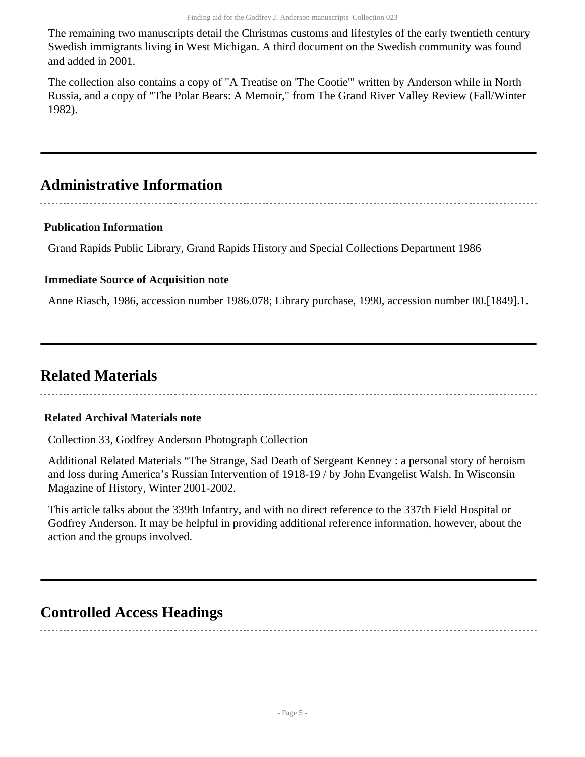The remaining two manuscripts detail the Christmas customs and lifestyles of the early twentieth century Swedish immigrants living in West Michigan. A third document on the Swedish community was found and added in 2001.

The collection also contains a copy of "A Treatise on 'The Cootie'" written by Anderson while in North Russia, and a copy of "The Polar Bears: A Memoir," from The Grand River Valley Review (Fall/Winter 1982).

## <span id="page-4-0"></span>**Administrative Information**

### **Publication Information**

Grand Rapids Public Library, Grand Rapids History and Special Collections Department 1986

#### **Immediate Source of Acquisition note**

Anne Riasch, 1986, accession number 1986.078; Library purchase, 1990, accession number 00.[1849].1.

## <span id="page-4-1"></span>**Related Materials**

#### **Related Archival Materials note**

Collection 33, Godfrey Anderson Photograph Collection

Additional Related Materials "The Strange, Sad Death of Sergeant Kenney : a personal story of heroism and loss during America's Russian Intervention of 1918-19 / by John Evangelist Walsh. In Wisconsin Magazine of History, Winter 2001-2002.

This article talks about the 339th Infantry, and with no direct reference to the 337th Field Hospital or Godfrey Anderson. It may be helpful in providing additional reference information, however, about the action and the groups involved.

## <span id="page-4-2"></span>**Controlled Access Headings**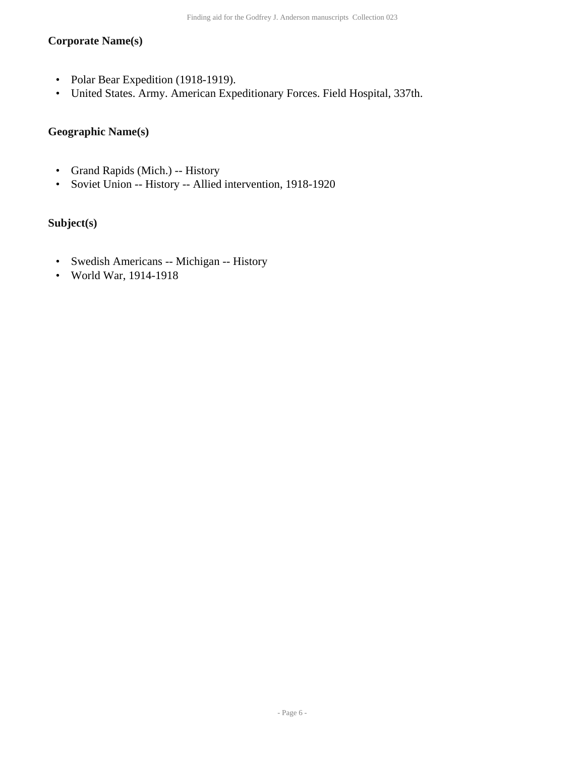#### **Corporate Name(s)**

- Polar Bear Expedition (1918-1919).
- United States. Army. American Expeditionary Forces. Field Hospital, 337th.

#### **Geographic Name(s)**

- Grand Rapids (Mich.) -- History
- Soviet Union -- History -- Allied intervention, 1918-1920

#### **Subject(s)**

- Swedish Americans -- Michigan -- History
- World War, 1914-1918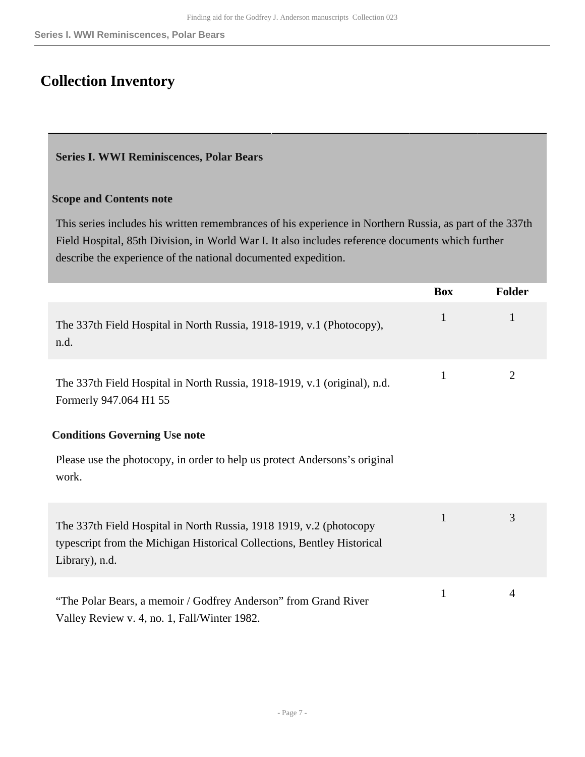# <span id="page-6-0"></span>**Collection Inventory**

#### <span id="page-6-1"></span>**Series I. WWI Reminiscences, Polar Bears**

#### **Scope and Contents note**

This series includes his written remembrances of his experience in Northern Russia, as part of the 337th Field Hospital, 85th Division, in World War I. It also includes reference documents which further describe the experience of the national documented expedition.

|                                                                                                                                                                  | <b>Box</b>   | <b>Folder</b> |
|------------------------------------------------------------------------------------------------------------------------------------------------------------------|--------------|---------------|
| The 337th Field Hospital in North Russia, 1918-1919, v.1 (Photocopy),<br>n.d.                                                                                    | 1            | 1             |
| The 337th Field Hospital in North Russia, 1918-1919, v.1 (original), n.d.<br>Formerly 947.064 H1 55                                                              | $\mathbf{1}$ | 2             |
| <b>Conditions Governing Use note</b><br>Please use the photocopy, in order to help us protect Andersons's original<br>work.                                      |              |               |
| The 337th Field Hospital in North Russia, 1918 1919, v.2 (photocopy<br>typescript from the Michigan Historical Collections, Bentley Historical<br>Library), n.d. | 1            | 3             |
| "The Polar Bears, a memoir / Godfrey Anderson" from Grand River<br>Valley Review v. 4, no. 1, Fall/Winter 1982.                                                  | 1            | 4             |